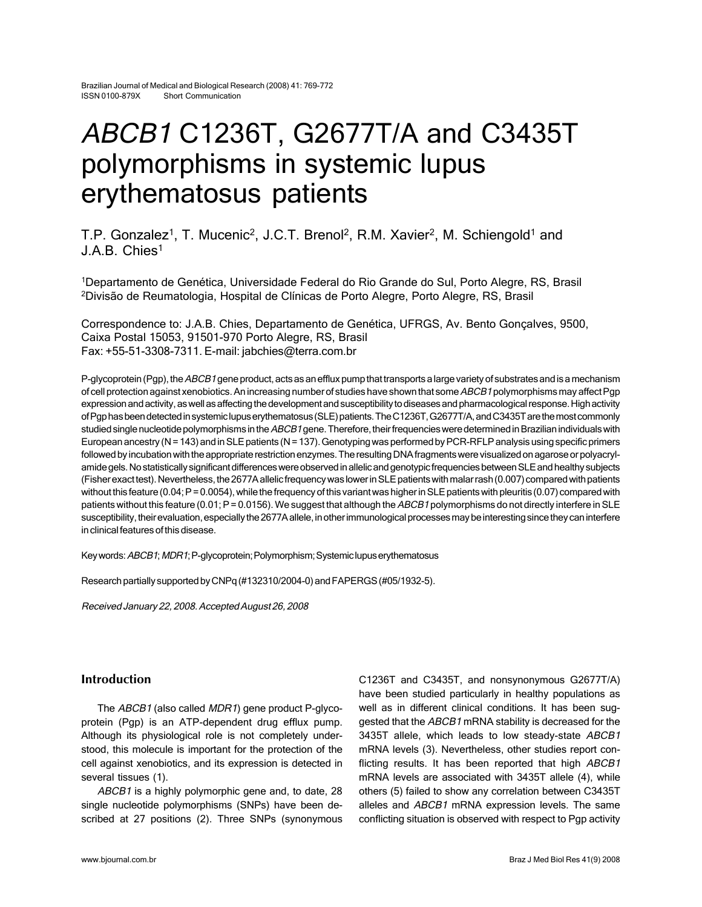# ABCB1 C1236T, G2677T/A and C3435T polymorphisms in systemic lupus erythematosus patients

T.P. Gonzalez<sup>1</sup>, T. Mucenic<sup>2</sup>, J.C.T. Brenol<sup>2</sup>, R.M. Xavier<sup>2</sup>, M. Schiengold<sup>1</sup> and J.A.B. Chies1

1Departamento de Genética, Universidade Federal do Rio Grande do Sul, Porto Alegre, RS, Brasil 2Divisão de Reumatologia, Hospital de Clínicas de Porto Alegre, Porto Alegre, RS, Brasil

Correspondence to: J.A.B. Chies, Departamento de Genética, UFRGS, Av. Bento Gonçalves, 9500, Caixa Postal 15053, 91501-970 Porto Alegre, RS, Brasil Fax: +55-51-3308-7311. E-mail: jabchies@terra.com.br

P-glycoprotein (Pgp), the ABCB1 gene product, acts as an efflux pump that transports a large variety of substrates and is a mechanism of cell protection against xenobiotics. An increasing number of studies have shown that some ABCB1 polymorphisms may affect Pgp expression and activity, as well as affecting the development and susceptibility to diseases and pharmacological response. High activity of Pgp has been detected in systemic lupus erythematosus (SLE) patients. The C1236T, G2677T/A, and C3435T are the most commonly studied single nucleotide polymorphisms in the ABCB1 gene. Therefore, their frequencies were determined in Brazilian individuals with European ancestry (N = 143) and in SLE patients (N = 137). Genotyping was performed by PCR-RFLP analysis using specific primers followed by incubation with the appropriate restriction enzymes. The resulting DNA fragments were visualized on agarose or polyacrylamide gels. No statistically significant differences were observed in allelic and genotypic frequencies between SLE and healthy subjects (Fisher exact test). Nevertheless, the 2677A allelic frequency was lower in SLE patients with malar rash (0.007) compared with patients without this feature (0.04; P = 0.0054), while the frequency of this variant was higher in SLE patients with pleuritis (0.07) compared with patients without this feature (0.01; P = 0.0156). We suggest that although the ABCB1 polymorphisms do not directly interfere in SLE susceptibility, their evaluation, especially the 2677A allele, in other immunological processes may be interesting since they can interfere in clinical features of this disease.

Key words: ABCB1; MDR1; P-glycoprotein; Polymorphism; Systemic lupus erythematosus

Research partially supported by CNPq (#132310/2004-0) and FAPERGS (#05/1932-5).

Received January 22, 2008. Accepted August 26, 2008

# **Introduction**

The ABCB1 (also called MDR1) gene product P-glycoprotein (Pgp) is an ATP-dependent drug efflux pump. Although its physiological role is not completely understood, this molecule is important for the protection of the cell against xenobiotics, and its expression is detected in several tissues (1).

ABCB1 is a highly polymorphic gene and, to date, 28 single nucleotide polymorphisms (SNPs) have been described at 27 positions (2). Three SNPs (synonymous C1236T and C3435T, and nonsynonymous G2677T/A) have been studied particularly in healthy populations as well as in different clinical conditions. It has been suggested that the ABCB1 mRNA stability is decreased for the 3435T allele, which leads to low steady-state ABCB1 mRNA levels (3). Nevertheless, other studies report conflicting results. It has been reported that high ABCB1 mRNA levels are associated with 3435T allele (4), while others (5) failed to show any correlation between C3435T alleles and ABCB1 mRNA expression levels. The same conflicting situation is observed with respect to Pgp activity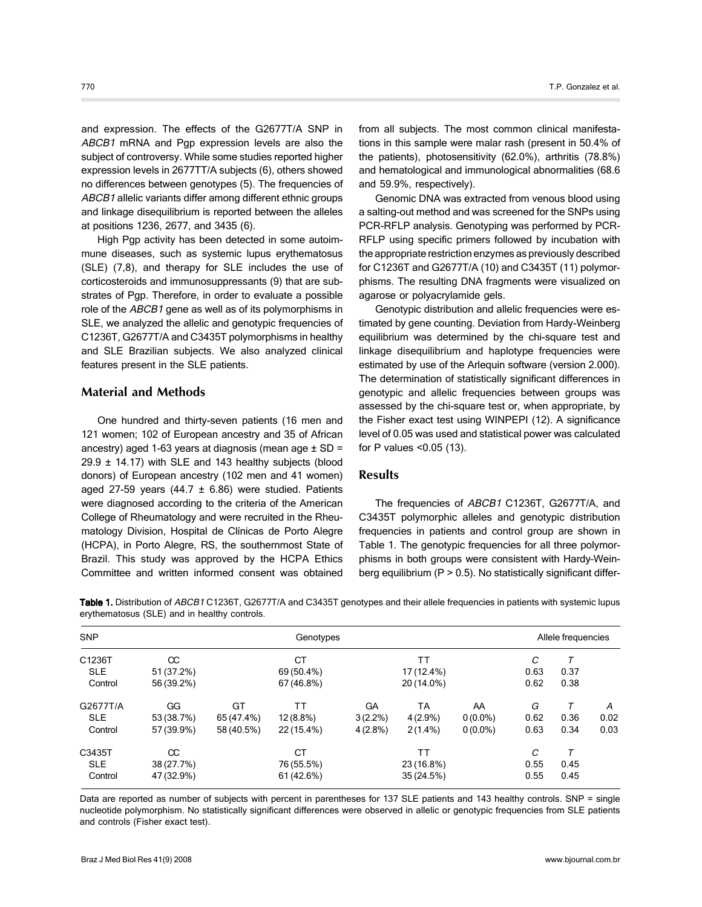and expression. The effects of the G2677T/A SNP in ABCB1 mRNA and Pgp expression levels are also the subject of controversy. While some studies reported higher expression levels in 2677TT/A subjects (6), others showed no differences between genotypes (5). The frequencies of ABCB1 allelic variants differ among different ethnic groups and linkage disequilibrium is reported between the alleles at positions 1236, 2677, and 3435 (6).

High Pgp activity has been detected in some autoimmune diseases, such as systemic lupus erythematosus (SLE) (7,8), and therapy for SLE includes the use of corticosteroids and immunosuppressants (9) that are substrates of Pgp. Therefore, in order to evaluate a possible role of the ABCB1 gene as well as of its polymorphisms in SLE, we analyzed the allelic and genotypic frequencies of C1236T, G2677T/A and C3435T polymorphisms in healthy and SLE Brazilian subjects. We also analyzed clinical features present in the SLE patients.

#### **Material and Methods**

One hundred and thirty-seven patients (16 men and 121 women; 102 of European ancestry and 35 of African ancestry) aged 1-63 years at diagnosis (mean age  $\pm$  SD =  $29.9 \pm 14.17$ ) with SLE and 143 healthy subjects (blood donors) of European ancestry (102 men and 41 women) aged 27-59 years  $(44.7 \pm 6.86)$  were studied. Patients were diagnosed according to the criteria of the American College of Rheumatology and were recruited in the Rheumatology Division, Hospital de Clínicas de Porto Alegre (HCPA), in Porto Alegre, RS, the southernmost State of Brazil. This study was approved by the HCPA Ethics Committee and written informed consent was obtained from all subjects. The most common clinical manifestations in this sample were malar rash (present in 50.4% of the patients), photosensitivity (62.0%), arthritis (78.8%) and hematological and immunological abnormalities (68.6 and 59.9%, respectively).

Genomic DNA was extracted from venous blood using a salting-out method and was screened for the SNPs using PCR-RFLP analysis. Genotyping was performed by PCR-RFLP using specific primers followed by incubation with the appropriate restriction enzymes as previously described for C1236T and G2677T/A (10) and C3435T (11) polymorphisms. The resulting DNA fragments were visualized on agarose or polyacrylamide gels.

Genotypic distribution and allelic frequencies were estimated by gene counting. Deviation from Hardy-Weinberg equilibrium was determined by the chi-square test and linkage disequilibrium and haplotype frequencies were estimated by use of the Arlequin software (version 2.000). The determination of statistically significant differences in genotypic and allelic frequencies between groups was assessed by the chi-square test or, when appropriate, by the Fisher exact test using WINPEPI (12). A significance level of 0.05 was used and statistical power was calculated for P values <0.05 (13).

### **Results**

The frequencies of ABCB1 C1236T, G2677T/A, and C3435T polymorphic alleles and genotypic distribution frequencies in patients and control group are shown in Table 1. The genotypic frequencies for all three polymorphisms in both groups were consistent with Hardy–Weinberg equilibrium ( $P > 0.5$ ). No statistically significant differ-

Table 1. Distribution of ABCB1 C1236T, G2677T/A and C3435T genotypes and their allele frequencies in patients with systemic lupus erythematosus (SLE) and in healthy controls.

| <b>SNP</b> |            | Genotypes  |             |            |            |            | Allele frequencies |      |      |
|------------|------------|------------|-------------|------------|------------|------------|--------------------|------|------|
| C1236T     | $\infty$   |            | СT          |            | ТT         |            | C                  | Т    |      |
| <b>SLE</b> | 51 (37.2%) |            | 69 (50.4%)  |            | 17 (12.4%) |            | 0.63               | 0.37 |      |
| Control    | 56 (39.2%) |            | 67 (46.8%)  |            | 20 (14.0%) |            | 0.62               | 0.38 |      |
| G2677T/A   | GG         | GT         | ТT          | GA         | ТA         | AA         | G                  | т    | A    |
| <b>SLE</b> | 53 (38.7%) | 65 (47.4%) | $12(8.8\%)$ | $3(2.2\%)$ | $4(2.9\%)$ | $0(0.0\%)$ | 0.62               | 0.36 | 0.02 |
| Control    | 57 (39.9%) | 58 (40.5%) | 22 (15.4%)  | $4(2.8\%)$ | $2(1.4\%)$ | $0(0.0\%)$ | 0.63               | 0.34 | 0.03 |
| C3435T     | $\infty$   |            | <b>CT</b>   |            | ТT         |            | C                  | T    |      |
| <b>SLE</b> | 38 (27.7%) |            | 76 (55.5%)  |            | 23 (16.8%) |            | 0.55               | 0.45 |      |
| Control    | 47 (32.9%) |            | 61 (42.6%)  |            | 35 (24.5%) |            | 0.55               | 0.45 |      |

Data are reported as number of subjects with percent in parentheses for 137 SLE patients and 143 healthy controls. SNP = single nucleotide polymorphism. No statistically significant differences were observed in allelic or genotypic frequencies from SLE patients and controls (Fisher exact test).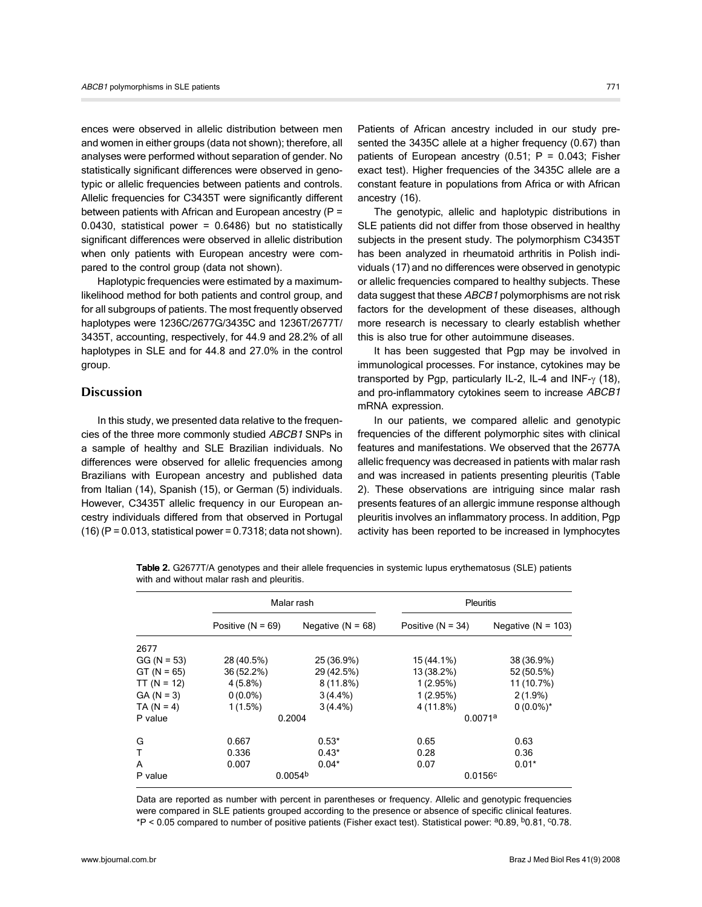ences were observed in allelic distribution between men and women in either groups (data not shown); therefore, all analyses were performed without separation of gender. No statistically significant differences were observed in genotypic or allelic frequencies between patients and controls. Allelic frequencies for C3435T were significantly different between patients with African and European ancestry (P = 0.0430, statistical power = 0.6486) but no statistically significant differences were observed in allelic distribution when only patients with European ancestry were compared to the control group (data not shown).

Haplotypic frequencies were estimated by a maximumlikelihood method for both patients and control group, and for all subgroups of patients. The most frequently observed haplotypes were 1236C/2677G/3435C and 1236T/2677T/ 3435T, accounting, respectively, for 44.9 and 28.2% of all haplotypes in SLE and for 44.8 and 27.0% in the control group.

## **Discussion**

In this study, we presented data relative to the frequencies of the three more commonly studied ABCB1 SNPs in a sample of healthy and SLE Brazilian individuals. No differences were observed for allelic frequencies among Brazilians with European ancestry and published data from Italian (14), Spanish (15), or German (5) individuals. However, C3435T allelic frequency in our European ancestry individuals differed from that observed in Portugal  $(16)$  (P = 0.013, statistical power = 0.7318; data not shown).

Patients of African ancestry included in our study presented the 3435C allele at a higher frequency (0.67) than patients of European ancestry  $(0.51; P = 0.043;$  Fisher exact test). Higher frequencies of the 3435C allele are a constant feature in populations from Africa or with African ancestry (16).

The genotypic, allelic and haplotypic distributions in SLE patients did not differ from those observed in healthy subjects in the present study. The polymorphism C3435T has been analyzed in rheumatoid arthritis in Polish individuals (17) and no differences were observed in genotypic or allelic frequencies compared to healthy subjects. These data suggest that these ABCB1 polymorphisms are not risk factors for the development of these diseases, although more research is necessary to clearly establish whether this is also true for other autoimmune diseases.

It has been suggested that Pgp may be involved in immunological processes. For instance, cytokines may be transported by Pgp, particularly IL-2, IL-4 and INF-γ (18), and pro-inflammatory cytokines seem to increase ABCB1 mRNA expression.

In our patients, we compared allelic and genotypic frequencies of the different polymorphic sites with clinical features and manifestations. We observed that the 2677A allelic frequency was decreased in patients with malar rash and was increased in patients presenting pleuritis (Table 2). These observations are intriguing since malar rash presents features of an allergic immune response although pleuritis involves an inflammatory process. In addition, Pgp activity has been reported to be increased in lymphocytes

Table 2. G2677T/A genotypes and their allele frequencies in systemic lupus erythematosus (SLE) patients with and without malar rash and pleuritis.

|               |                     | Malar rash            | <b>Pleuritis</b>    |                        |  |
|---------------|---------------------|-----------------------|---------------------|------------------------|--|
|               | Positive $(N = 69)$ | Negative ( $N = 68$ ) | Positive $(N = 34)$ | Negative ( $N = 103$ ) |  |
| 2677          |                     |                       |                     |                        |  |
| $GG (N = 53)$ | 28 (40.5%)          | 25 (36.9%)            | 15 (44.1%)          | 38 (36.9%)             |  |
| $GT (N = 65)$ | 36 (52.2%)          | 29 (42.5%)            | 13 (38.2%)          | 52 (50.5%)             |  |
| $TT (N = 12)$ | $4(5.8\%)$          | $8(11.8\%)$           | 1(2.95%)            | 11 (10.7%)             |  |
| $GA (N = 3)$  | $0(0.0\%)$          | $3(4.4\%)$            | 1(2.95%)            | $2(1.9\%)$             |  |
| $TA (N = 4)$  | 1(1.5%)             | $3(4.4\%)$            | 4 (11.8%)           | $0(0.0\%)^*$           |  |
| P value       | 0.2004              |                       | 0.0071a             |                        |  |
| G             | 0.667               | $0.53*$               | 0.65                | 0.63                   |  |
| T             | 0.336               | $0.43*$               | 0.28                | 0.36                   |  |
| A             | 0.007               | $0.04*$               | 0.07                | $0.01*$                |  |
| P value       | 0.0054 <sup>b</sup> |                       | 0.0156c             |                        |  |

Data are reported as number with percent in parentheses or frequency. Allelic and genotypic frequencies were compared in SLE patients grouped according to the presence or absence of specific clinical features. \*P < 0.05 compared to number of positive patients (Fisher exact test). Statistical power: a0.89, b0.81, c0.78.